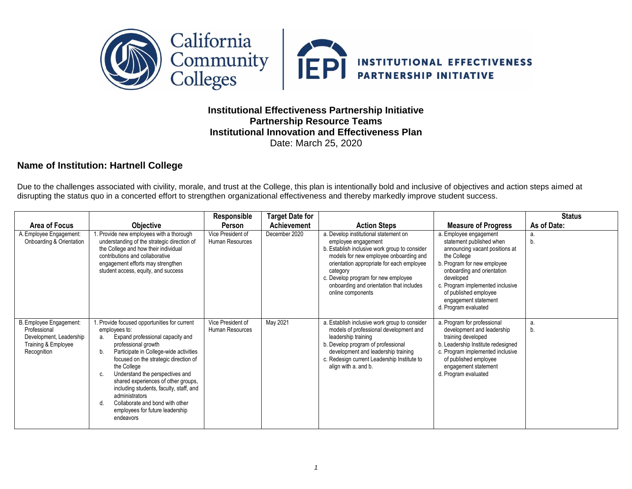

## **Institutional Effectiveness Partnership Initiative Partnership Resource Teams Institutional Innovation and Effectiveness Plan** Date: March 25, 2020

## **Name of Institution: Hartnell College**

Due to the challenges associated with civility, morale, and trust at the College, this plan is intentionally bold and inclusive of objectives and action steps aimed at disrupting the status quo in a concerted effort to strengthen organizational effectiveness and thereby markedly improve student success.

|                                                                                                          |                                                                                                                                                                                                                                                                                                                                                                                                                                                                  | Responsible                          | <b>Target Date for</b> |                                                                                                                                                                                                                                                                                                                          |                                                                                                                                                                                                                                                                                            | <b>Status</b> |
|----------------------------------------------------------------------------------------------------------|------------------------------------------------------------------------------------------------------------------------------------------------------------------------------------------------------------------------------------------------------------------------------------------------------------------------------------------------------------------------------------------------------------------------------------------------------------------|--------------------------------------|------------------------|--------------------------------------------------------------------------------------------------------------------------------------------------------------------------------------------------------------------------------------------------------------------------------------------------------------------------|--------------------------------------------------------------------------------------------------------------------------------------------------------------------------------------------------------------------------------------------------------------------------------------------|---------------|
| Area of Focus                                                                                            | <b>Objective</b>                                                                                                                                                                                                                                                                                                                                                                                                                                                 | Person                               | Achievement            | <b>Action Steps</b>                                                                                                                                                                                                                                                                                                      | <b>Measure of Progress</b>                                                                                                                                                                                                                                                                 | As of Date:   |
| A. Employee Engagement:<br>Onboarding & Orientation                                                      | 1. Provide new employees with a thorough<br>understanding of the strategic direction of<br>the College and how their individual<br>contributions and collaborative<br>engagement efforts may strengthen<br>student access, equity, and success                                                                                                                                                                                                                   | Vice President of<br>Human Resources | December 2020          | a. Develop institutional statement on<br>employee engagement<br>b. Establish inclusive work group to consider<br>models for new employee onboarding and<br>orientation appropriate for each employee<br>category<br>c. Develop program for new employee<br>onboarding and orientation that includes<br>online components | a. Employee engagement<br>statement published when<br>announcing vacant positions at<br>the College<br>b. Program for new employee<br>onboarding and orientation<br>developed<br>c. Program implemented inclusive<br>of published employee<br>engagement statement<br>d. Program evaluated | a.<br>b.      |
| B. Employee Engagement:<br>Professional<br>Development, Leadership<br>Training & Employee<br>Recognition | 1. Provide focused opportunities for current<br>employees to:<br>Expand professional capacity and<br>а.<br>professional growth<br>Participate in College-wide activities<br>b.<br>focused on the strategic direction of<br>the College<br>Understand the perspectives and<br>shared experiences of other groups,<br>including students, faculty, staff, and<br>administrators<br>Collaborate and bond with other<br>employees for future leadership<br>endeavors | Vice President of<br>Human Resources | May 2021               | a. Establish inclusive work group to consider<br>models of professional development and<br>leadership training<br>b. Develop program of professional<br>development and leadership training<br>c. Redesign current Leadership Institute to<br>align with a. and b.                                                       | a. Program for professional<br>development and leadership<br>training developed<br>b. Leadership Institute redesigned<br>c. Program implemented inclusive<br>of published employee<br>engagement statement<br>d. Program evaluated                                                         | a.<br>b.      |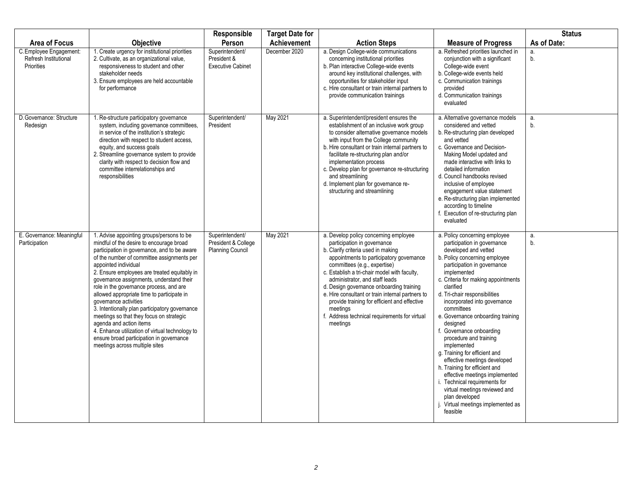| <b>Area of Focus</b>                                           | <b>Objective</b>                                                                                                                                                                                                                                                                                                                                                                                                                                                                                                                                                                                                                                                                    | Responsible<br>Person                                      | <b>Target Date for</b><br>Achievement | <b>Action Steps</b>                                                                                                                                                                                                                                                                                                                                                                                                                                                                               | <b>Measure of Progress</b>                                                                                                                                                                                                                                                                                                                                                                                                                                                                                                                                                                                                                                                                          | <b>Status</b><br>As of Date: |
|----------------------------------------------------------------|-------------------------------------------------------------------------------------------------------------------------------------------------------------------------------------------------------------------------------------------------------------------------------------------------------------------------------------------------------------------------------------------------------------------------------------------------------------------------------------------------------------------------------------------------------------------------------------------------------------------------------------------------------------------------------------|------------------------------------------------------------|---------------------------------------|---------------------------------------------------------------------------------------------------------------------------------------------------------------------------------------------------------------------------------------------------------------------------------------------------------------------------------------------------------------------------------------------------------------------------------------------------------------------------------------------------|-----------------------------------------------------------------------------------------------------------------------------------------------------------------------------------------------------------------------------------------------------------------------------------------------------------------------------------------------------------------------------------------------------------------------------------------------------------------------------------------------------------------------------------------------------------------------------------------------------------------------------------------------------------------------------------------------------|------------------------------|
| C. Employee Engagement:<br>Refresh Institutional<br>Priorities | 1. Create urgency for institutional priorities<br>2. Cultivate, as an organizational value,<br>responsiveness to student and other<br>stakeholder needs<br>3. Ensure employees are held accountable<br>for performance                                                                                                                                                                                                                                                                                                                                                                                                                                                              | Superintendent/<br>President &<br><b>Executive Cabinet</b> | December 2020                         | a. Design College-wide communications<br>concerning institutional priorities<br>b. Plan interactive College-wide events<br>around key institutional challenges, with<br>opportunities for stakeholder input<br>c. Hire consultant or train internal partners to<br>provide communication trainings                                                                                                                                                                                                | a. Refreshed priorities launched in<br>conjunction with a significant<br>College-wide event<br>b. College-wide events held<br>c. Communication trainings<br>provided<br>d. Communication trainings<br>evaluated                                                                                                                                                                                                                                                                                                                                                                                                                                                                                     | a.<br>b.                     |
| D. Governance: Structure<br>Redesign                           | 1. Re-structure participatory governance<br>system, including governance committees,<br>in service of the institution's strategic<br>direction with respect to student access.<br>equity, and success goals<br>2. Streamline governance system to provide<br>clarity with respect to decision flow and<br>committee interrelationships and<br>responsibilities                                                                                                                                                                                                                                                                                                                      | Superintendent/<br>President                               | May 2021                              | a. Superintendent/president ensures the<br>establishment of an inclusive work group<br>to consider alternative governance models<br>with input from the College community<br>b. Hire consultant or train internal partners to<br>facilitate re-structuring plan and/or<br>implementation process<br>c. Develop plan for governance re-structuring<br>and streamlining<br>d. Implement plan for governance re-<br>structuring and streamlining                                                     | a. Alternative governance models<br>considered and vetted<br>b. Re-structuring plan developed<br>and vetted<br>c. Governance and Decision-<br>Making Model updated and<br>made interactive with links to<br>detailed information<br>d. Council handbooks revised<br>inclusive of employee<br>engagement value statement<br>e. Re-structuring plan implemented<br>according to timeline<br>f. Execution of re-structuring plan<br>evaluated                                                                                                                                                                                                                                                          | a.<br>b.                     |
| E. Governance: Meaningful<br>Participation                     | 1. Advise appointing groups/persons to be<br>mindful of the desire to encourage broad<br>participation in governance, and to be aware<br>of the number of committee assignments per<br>appointed individual<br>2. Ensure employees are treated equitably in<br>governance assignments, understand their<br>role in the governance process, and are<br>allowed appropriate time to participate in<br>governance activities<br>3. Intentionally plan participatory governance<br>meetings so that they focus on strategic<br>agenda and action items<br>4. Enhance utilization of virtual technology to<br>ensure broad participation in governance<br>meetings across multiple sites | Superintendent/<br>President & College<br>Planning Council | May 2021                              | a. Develop policy concerning employee<br>participation in governance<br>b. Clarify criteria used in making<br>appointments to participatory governance<br>committees (e.g., expertise)<br>c. Establish a tri-chair model with faculty,<br>administrator, and staff leads<br>d. Design governance onboarding training<br>e. Hire consultant or train internal partners to<br>provide training for efficient and effective<br>meetings<br>f. Address technical requirements for virtual<br>meetings | a. Policy concerning employee<br>participation in governance<br>developed and vetted<br>b. Policy concerning employee<br>participation in governance<br>implemented<br>c. Criteria for making appointments<br>clarified<br>d. Tri-chair responsibilities<br>incorporated into governance<br>committees<br>e. Governance onboarding training<br>designed<br>f. Governance onboarding<br>procedure and training<br>implemented<br>g. Training for efficient and<br>effective meetings developed<br>h. Training for efficient and<br>effective meetings implemented<br>i. Technical requirements for<br>virtual meetings reviewed and<br>plan developed<br>Virtual meetings implemented as<br>feasible | a.<br>b.                     |